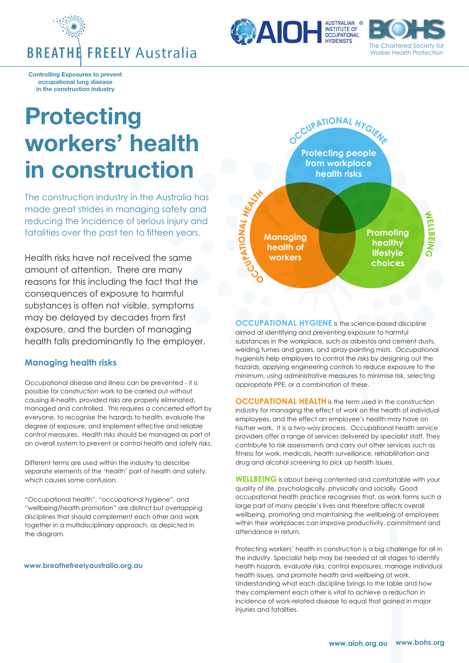





**Controlling Exposures to prevent occupational lung disease in the construction industry**

## **Protecting workers' health in construction**

The construction industry in the Australia has made great strides in managing safety and reducing the incidence of serious injury and fatalities over the past ten to fifteen years.

Health risks have not received the same amount of attention. There are many reasons for this including the fact that the consequences of exposure to harmful substances is often not visible, symptoms may be delayed by decades from first exposure, and the burden of managing health falls predominantly to the employer.

## **Managing health risks**

Occupational disease and illness can be prevented - it is possible for construction work to be carried out without causing ill-health, provided risks are properly eliminated, managed and controlled. This requires a concerted effort by everyone, to recognise the hazards to health, evaluate the degree of exposure, and implement effective and reliable control measures. Health risks should be managed as part of an overall system to prevent or control health and safety risks.

Different terms are used within the industry to describe separate elements of the 'health' part of health and safety, which causes some confusion.

"Occupational health", "occupational hygiene", and "wellbeing/health promotion" are distinct but overlapping disciplines that should complement each other and work together in a multidisciplinary approach, as depicted in the diagram.

## **www.breathefreelyaustralia.org.au**



**OCCUPATIONAL HYGIENE** is the science-based discipline aimed at identifying and preventing exposure to harmful substances in the workplace, such as asbestos and cement dusts, welding fumes and gases, and spray-painting mists. Occupational hygienists help employers to control the risks by designing out the hazards, applying engineering controls to reduce exposure to the minimum, using administrative measures to minimise risk, selecting appropriate PPE, or a combination of these.

**OCCUPATIONAL HEALTH** is the term used in the construction industry for managing the effect of work on the health of individual employees, and the effect an employee's health may have on his/her work. It is a two-way process. Occupational health service providers offer a range of services delivered by specialist staff. They contribute to risk assessments and carry out other services such as fitness for work, medicals, health surveillance, rehabilitation and drug and alcohol screening to pick up health issues.

**WELLBEING** is about being contented and comfortable with your quality of life, psychologically, physically and socially. Good occupational health practice recognises that, as work forms such a large part of many people's lives and therefore affects overall wellbeing, promoting and maintaining the wellbeing of employees within their workplaces can improve productivity, commitment and attendance in return.

Protecting workers' health in construction is a big challenge for all in the industry. Specialist help may be needed at all stages to identify health hazards, evaluate risks, control exposures, manage individual health issues, and promote health and wellbeing at work. Understanding what each discipline brings to the table and how they complement each other is vital to achieve a reduction in incidence of work-related disease to equal that gained in major injuries and fatalities.